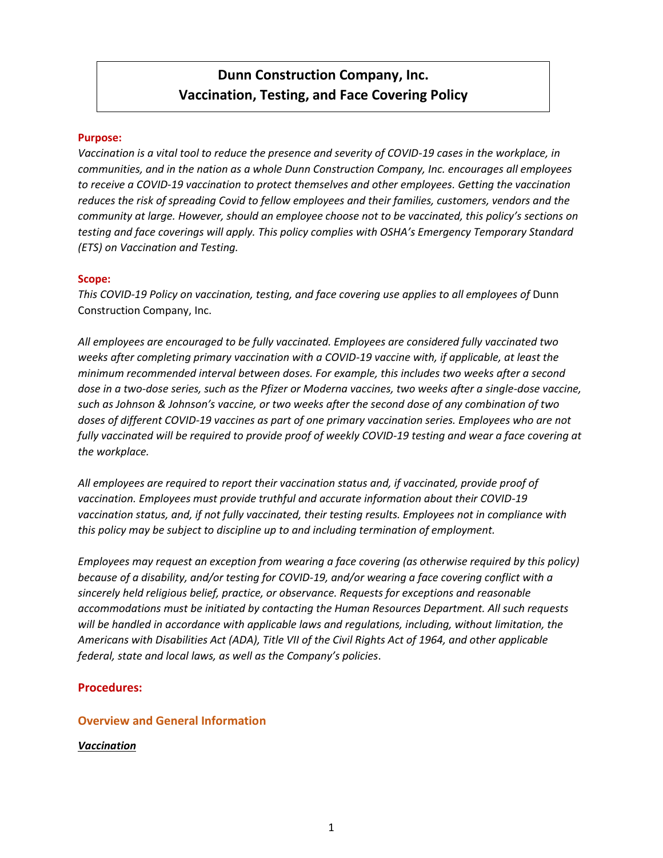# **Dunn Construction Company, Inc. Vaccination, Testing, and Face Covering Policy**

### **Purpose:**

*Vaccination is a vital tool to reduce the presence and severity of COVID-19 cases in the workplace, in communities, and in the nation as a whole Dunn Construction Company, Inc. encourages all employees to receive a COVID-19 vaccination to protect themselves and other employees. Getting the vaccination reduces the risk of spreading Covid to fellow employees and their families, customers, vendors and the community at large. However, should an employee choose not to be vaccinated, this policy's sections on testing and face coverings will apply. This policy complies with OSHA's Emergency Temporary Standard (ETS) on Vaccination and Testing.* 

### **Scope:**

*This COVID-19 Policy on vaccination, testing, and face covering use applies to all employees of* Dunn Construction Company, Inc.

*All employees are encouraged to be fully vaccinated. Employees are considered fully vaccinated two weeks after completing primary vaccination with a COVID-19 vaccine with, if applicable, at least the minimum recommended interval between doses. For example, this includes two weeks after a second dose in a two-dose series, such as the Pfizer or Moderna vaccines, two weeks after a single-dose vaccine, such as Johnson & Johnson's vaccine, or two weeks after the second dose of any combination of two doses of different COVID-19 vaccines as part of one primary vaccination series. Employees who are not fully vaccinated will be required to provide proof of weekly COVID-19 testing and wear a face covering at the workplace.* 

*All employees are required to report their vaccination status and, if vaccinated, provide proof of vaccination. Employees must provide truthful and accurate information about their COVID-19 vaccination status, and, if not fully vaccinated, their testing results. Employees not in compliance with this policy may be subject to discipline up to and including termination of employment.* 

*Employees may request an exception from wearing a face covering (as otherwise required by this policy) because of a disability, and/or testing for COVID-19, and/or wearing a face covering conflict with a sincerely held religious belief, practice, or observance. Requests for exceptions and reasonable accommodations must be initiated by contacting the Human Resources Department. All such requests will be handled in accordance with applicable laws and regulations, including, without limitation, the Americans with Disabilities Act (ADA), Title VII of the Civil Rights Act of 1964, and other applicable federal, state and local laws, as well as the Company's policies*.

# **Procedures:**

### **Overview and General Information**

### *Vaccination*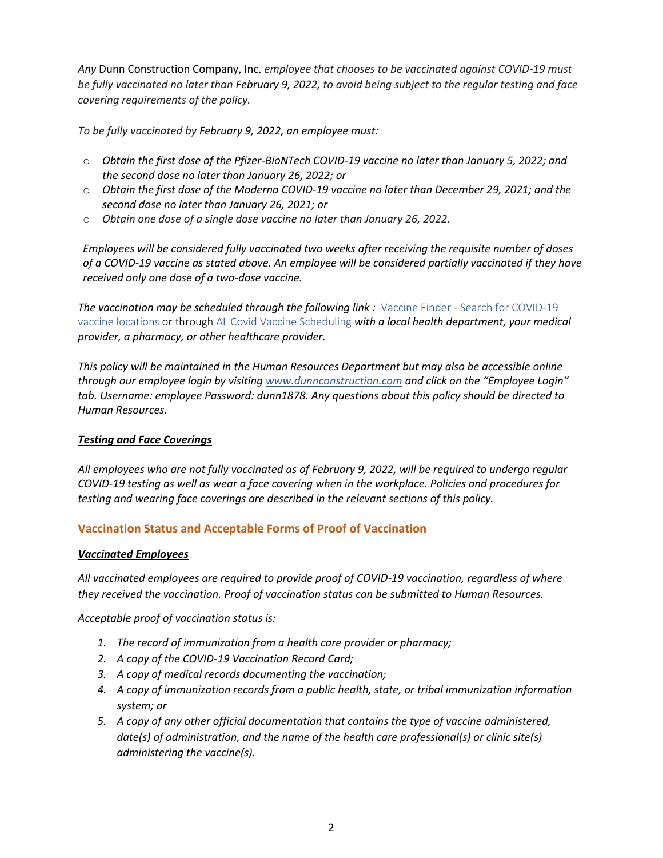*Any* Dunn Construction Company, Inc. *employee that chooses to be vaccinated against COVID-19 must be fully vaccinated no later than February 9, 2022, to avoid being subject to the regular testing and face covering requirements of the policy.* 

*To be fully vaccinated by February 9, 2022, an employee must:*

- o *Obtain the first dose of the Pfizer-BioNTech COVID-19 vaccine no later than January 5, 2022; and the second dose no later than January 26, 2022; or*
- o *Obtain the first dose of the Moderna COVID-19 vaccine no later than December 29, 2021; and the second dose no later than January 26, 2021; or*
- o *Obtain one dose of a single dose vaccine no later than January 26, 2022.*

*Employees will be considered fully vaccinated two weeks after receiving the requisite number of doses of a COVID-19 vaccine as stated above. An employee will be considered partially vaccinated if they have received only one dose of a two-dose vaccine.* 

**The vaccination may be scheduled through the following link :** Vaccine Finder - Search for COVID-19 [vaccine locations](https://vaccinefinder.org/search/) or throug[h AL Covid Vaccine Scheduling](https://alcovidvaccine.gov/) *with a local health department, your medical provider, a pharmacy, or other healthcare provider.* 

*This policy will be maintained in the Human Resources Department but may also be accessible online through our employee login by visiting [www.dunnconstruction.com](http://www.dunnconstruction.com/) and click on the "Employee Login" tab. Username: employee Password: dunn1878. Any questions about this policy should be directed to Human Resources.* 

# *Testing and Face Coverings*

*All employees who are not fully vaccinated as of February 9, 2022, will be required to undergo regular COVID-19 testing as well as wear a face covering when in the workplace. Policies and procedures for testing and wearing face coverings are described in the relevant sections of this policy.* 

# **Vaccination Status and Acceptable Forms of Proof of Vaccination**

# *Vaccinated Employees*

*All vaccinated employees are required to provide proof of COVID-19 vaccination, regardless of where they received the vaccination. Proof of vaccination status can be submitted to Human Resources.*

*Acceptable proof of vaccination status is:* 

- *1. The record of immunization from a health care provider or pharmacy;*
- *2. A copy of the COVID-19 Vaccination Record Card;*
- *3. A copy of medical records documenting the vaccination;*
- *4. A copy of immunization records from a public health, state, or tribal immunization information system; or*
- *5. A copy of any other official documentation that contains the type of vaccine administered, date(s) of administration, and the name of the health care professional(s) or clinic site(s) administering the vaccine(s).*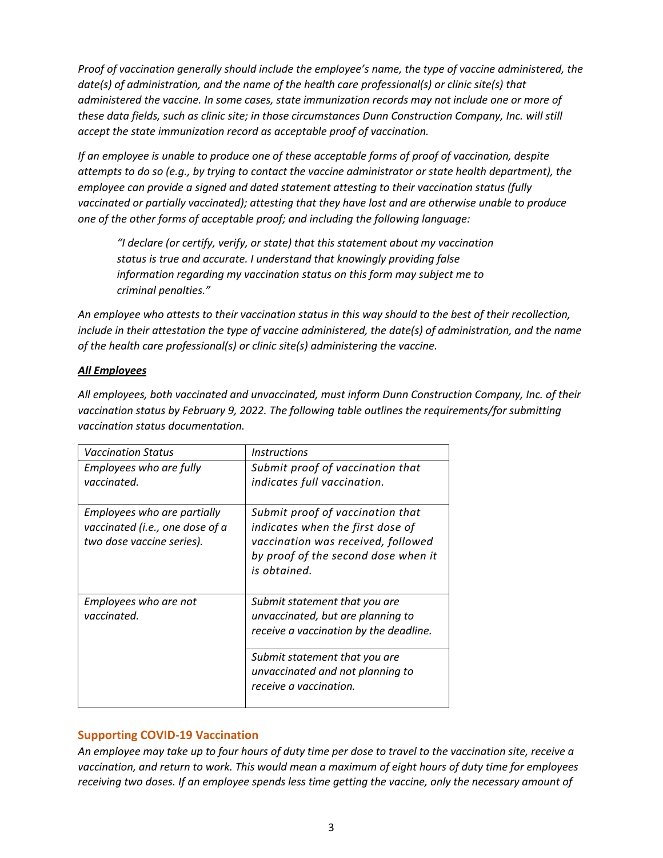*Proof of vaccination generally should include the employee's name, the type of vaccine administered, the date(s) of administration, and the name of the health care professional(s) or clinic site(s) that administered the vaccine. In some cases, state immunization records may not include one or more of these data fields, such as clinic site; in those circumstances Dunn Construction Company, Inc. will still accept the state immunization record as acceptable proof of vaccination.*

*If an employee is unable to produce one of these acceptable forms of proof of vaccination, despite attempts to do so (e.g., by trying to contact the vaccine administrator or state health department), the employee can provide a signed and dated statement attesting to their vaccination status (fully vaccinated or partially vaccinated); attesting that they have lost and are otherwise unable to produce one of the other forms of acceptable proof; and including the following language:* 

*"I declare (or certify, verify, or state) that this statement about my vaccination status is true and accurate. I understand that knowingly providing false information regarding my vaccination status on this form may subject me to criminal penalties."* 

*An employee who attests to their vaccination status in this way should to the best of their recollection, include in their attestation the type of vaccine administered, the date(s) of administration, and the name of the health care professional(s) or clinic site(s) administering the vaccine.* 

# *All Employees*

*All employees, both vaccinated and unvaccinated, must inform Dunn Construction Company, Inc. of their vaccination status by February 9, 2022. The following table outlines the requirements/for submitting vaccination status documentation.* 

| <b>Vaccination Status</b>                                                                   | <i><u><b>Instructions</b></u></i>                                                                                                                                 |
|---------------------------------------------------------------------------------------------|-------------------------------------------------------------------------------------------------------------------------------------------------------------------|
| Employees who are fully<br>vaccinated.                                                      | Submit proof of vaccination that<br>indicates full vaccination.                                                                                                   |
| Employees who are partially<br>vaccinated (i.e., one dose of a<br>two dose vaccine series). | Submit proof of vaccination that<br>indicates when the first dose of<br>vaccination was received, followed<br>by proof of the second dose when it<br>is obtained. |
| Employees who are not<br>vaccinated.                                                        | Submit statement that you are<br>unvaccinated, but are planning to<br>receive a vaccination by the deadline.                                                      |
|                                                                                             | Submit statement that you are<br>unvaccinated and not planning to<br>receive a vaccination.                                                                       |

# **Supporting COVID-19 Vaccination**

*An employee may take up to four hours of duty time per dose to travel to the vaccination site, receive a vaccination, and return to work. This would mean a maximum of eight hours of duty time for employees receiving two doses. If an employee spends less time getting the vaccine, only the necessary amount of*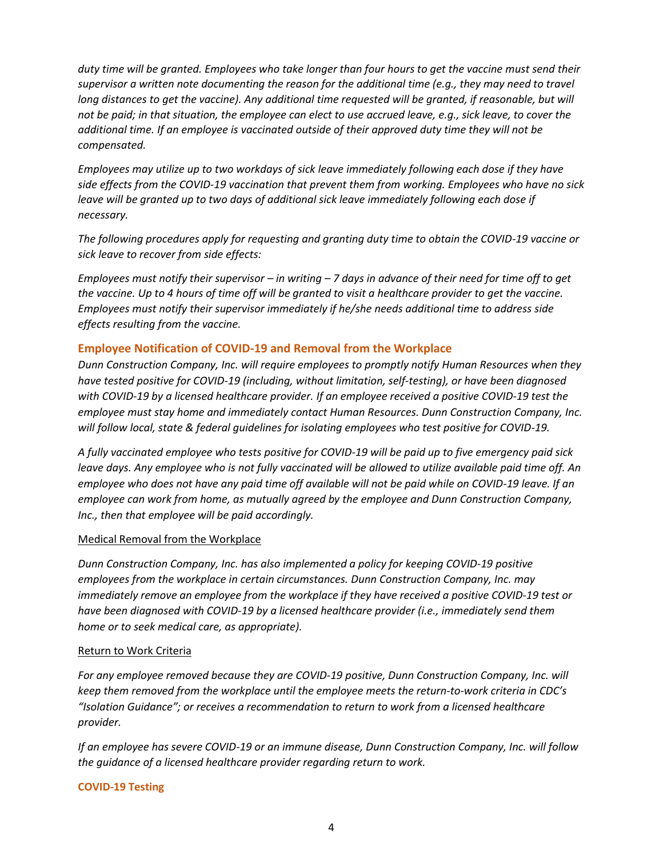*duty time will be granted. Employees who take longer than four hours to get the vaccine must send their supervisor a written note documenting the reason for the additional time (e.g., they may need to travel long distances to get the vaccine). Any additional time requested will be granted, if reasonable, but will not be paid; in that situation, the employee can elect to use accrued leave, e.g., sick leave, to cover the additional time. If an employee is vaccinated outside of their approved duty time they will not be compensated.*

*Employees may utilize up to two workdays of sick leave immediately following each dose if they have side effects from the COVID-19 vaccination that prevent them from working. Employees who have no sick leave will be granted up to two days of additional sick leave immediately following each dose if necessary.*

*The following procedures apply for requesting and granting duty time to obtain the COVID-19 vaccine or sick leave to recover from side effects:*

*Employees must notify their supervisor – in writing – 7 days in advance of their need for time off to get the vaccine. Up to 4 hours of time off will be granted to visit a healthcare provider to get the vaccine. Employees must notify their supervisor immediately if he/she needs additional time to address side effects resulting from the vaccine.* 

# **Employee Notification of COVID-19 and Removal from the Workplace**

*Dunn Construction Company, Inc. will require employees to promptly notify Human Resources when they have tested positive for COVID-19 (including, without limitation, self-testing), or have been diagnosed with COVID-19 by a licensed healthcare provider. If an employee received a positive COVID-19 test the employee must stay home and immediately contact Human Resources. Dunn Construction Company, Inc. will follow local, state & federal guidelines for isolating employees who test positive for COVID-19.* 

*A fully vaccinated employee who tests positive for COVID-19 will be paid up to five emergency paid sick leave days. Any employee who is not fully vaccinated will be allowed to utilize available paid time off. An employee who does not have any paid time off available will not be paid while on COVID-19 leave. If an employee can work from home, as mutually agreed by the employee and Dunn Construction Company, Inc., then that employee will be paid accordingly.* 

# Medical Removal from the Workplace

*Dunn Construction Company, Inc. has also implemented a policy for keeping COVID-19 positive employees from the workplace in certain circumstances. Dunn Construction Company, Inc. may immediately remove an employee from the workplace if they have received a positive COVID-19 test or have been diagnosed with COVID-19 by a licensed healthcare provider (i.e., immediately send them home or to seek medical care, as appropriate).*

### Return to Work Criteria

*For any employee removed because they are COVID-19 positive, Dunn Construction Company, Inc. will keep them removed from the workplace until the employee meets the return-to-work criteria in CDC's "Isolation Guidance"; or receives a recommendation to return to work from a licensed healthcare provider.* 

*If an employee has severe COVID-19 or an immune disease, Dunn Construction Company, Inc. will follow the guidance of a licensed healthcare provider regarding return to work.*

# **COVID-19 Testing**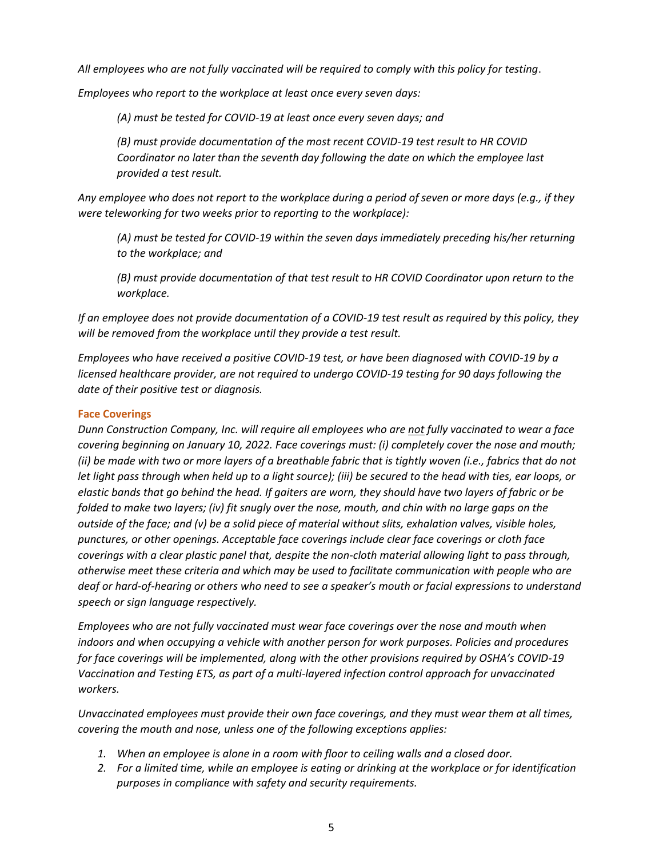*All employees who are not fully vaccinated will be required to comply with this policy for testing*.

*Employees who report to the workplace at least once every seven days:* 

*(A) must be tested for COVID-19 at least once every seven days; and*

*(B) must provide documentation of the most recent COVID-19 test result to HR COVID Coordinator no later than the seventh day following the date on which the employee last provided a test result.*

*Any employee who does not report to the workplace during a period of seven or more days (e.g., if they were teleworking for two weeks prior to reporting to the workplace):* 

*(A) must be tested for COVID-19 within the seven days immediately preceding his/her returning to the workplace; and*

*(B) must provide documentation of that test result to HR COVID Coordinator upon return to the workplace.* 

*If an employee does not provide documentation of a COVID-19 test result as required by this policy, they will be removed from the workplace until they provide a test result.* 

*Employees who have received a positive COVID-19 test, or have been diagnosed with COVID-19 by a licensed healthcare provider, are not required to undergo COVID-19 testing for 90 days following the date of their positive test or diagnosis.*

# **Face Coverings**

*Dunn Construction Company, Inc. will require all employees who are not fully vaccinated to wear a face covering beginning on January 10, 2022. Face coverings must: (i) completely cover the nose and mouth; (ii) be made with two or more layers of a breathable fabric that is tightly woven (i.e., fabrics that do not let light pass through when held up to a light source); (iii) be secured to the head with ties, ear loops, or elastic bands that go behind the head. If gaiters are worn, they should have two layers of fabric or be folded to make two layers; (iv) fit snugly over the nose, mouth, and chin with no large gaps on the outside of the face; and (v) be a solid piece of material without slits, exhalation valves, visible holes, punctures, or other openings. Acceptable face coverings include clear face coverings or cloth face coverings with a clear plastic panel that, despite the non-cloth material allowing light to pass through, otherwise meet these criteria and which may be used to facilitate communication with people who are deaf or hard-of-hearing or others who need to see a speaker's mouth or facial expressions to understand speech or sign language respectively.* 

*Employees who are not fully vaccinated must wear face coverings over the nose and mouth when indoors and when occupying a vehicle with another person for work purposes. Policies and procedures for face coverings will be implemented, along with the other provisions required by OSHA's COVID-19 Vaccination and Testing ETS, as part of a multi-layered infection control approach for unvaccinated workers.* 

*Unvaccinated employees must provide their own face coverings, and they must wear them at all times, covering the mouth and nose, unless one of the following exceptions applies:* 

- *1. When an employee is alone in a room with floor to ceiling walls and a closed door.*
- *2. For a limited time, while an employee is eating or drinking at the workplace or for identification purposes in compliance with safety and security requirements.*